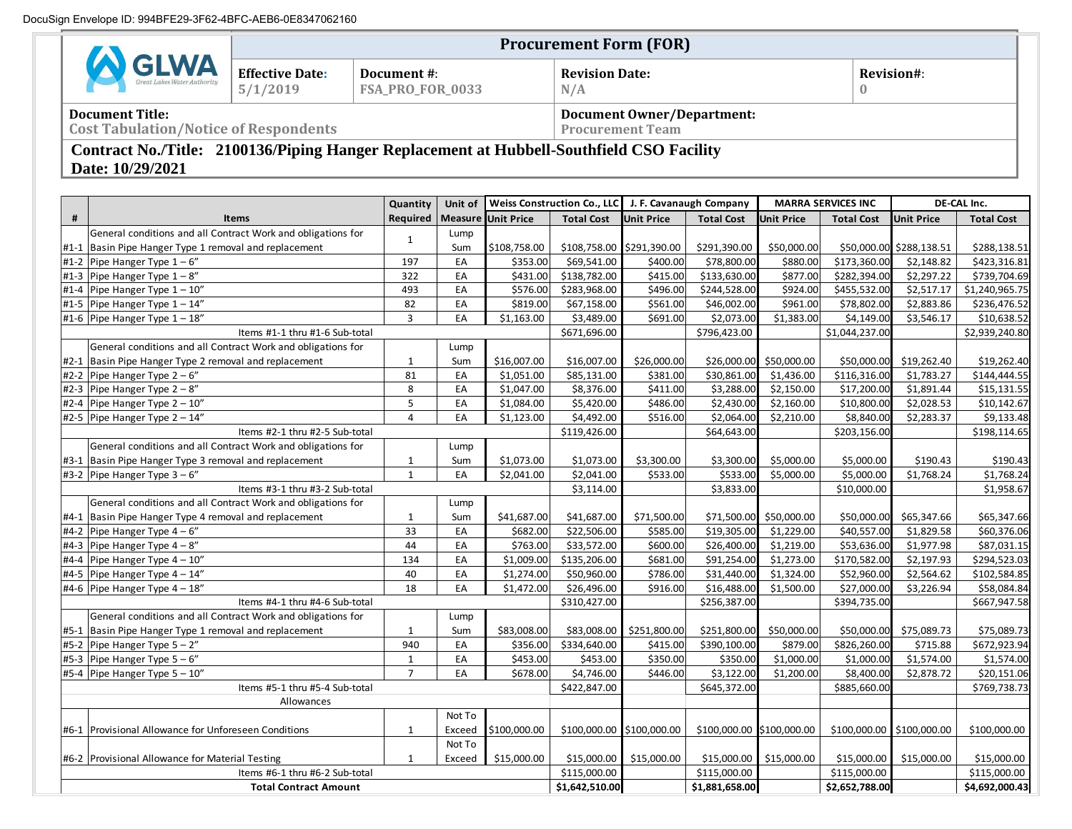|                                                                                                              |                                                                                                                                        |                                    | <b>Procurement Form (FOR)</b>   |                               |              |                                                                 |                           |                           |                   |                   |                          |                   |  |
|--------------------------------------------------------------------------------------------------------------|----------------------------------------------------------------------------------------------------------------------------------------|------------------------------------|---------------------------------|-------------------------------|--------------|-----------------------------------------------------------------|---------------------------|---------------------------|-------------------|-------------------|--------------------------|-------------------|--|
| <b>CELANA</b><br>Great Lakes Water Authority                                                                 |                                                                                                                                        | <b>Effective Date:</b><br>5/1/2019 | Document #:<br>FSA_PRO_FOR_0033 |                               |              | <b>Revision Date:</b><br>N/A                                    |                           |                           |                   | Revision#:<br>U   |                          |                   |  |
|                                                                                                              | <b>Document Title:</b><br><b>Document Owner/Department:</b><br><b>Cost Tabulation/Notice of Respondents</b><br><b>Procurement Team</b> |                                    |                                 |                               |              |                                                                 |                           |                           |                   |                   |                          |                   |  |
| Contract No./Title: 2100136/Piping Hanger Replacement at Hubbell-Southfield CSO Facility<br>Date: 10/29/2021 |                                                                                                                                        |                                    |                                 |                               |              |                                                                 |                           |                           |                   |                   |                          |                   |  |
|                                                                                                              |                                                                                                                                        |                                    | Quantity                        |                               |              | Unit of   Weiss Construction Co., LLC   J. F. Cavanaugh Company |                           | <b>MARRA SERVICES INC</b> |                   | DE-CAL Inc.       |                          |                   |  |
|                                                                                                              |                                                                                                                                        | <b>Items</b>                       |                                 | Required   Measure Unit Price |              | <b>Total Cost</b>                                               | <b>Unit Price</b>         | <b>Total Cost</b>         | <b>Unit Price</b> | <b>Total Cost</b> | <b>Unit Price</b>        | <b>Total Cost</b> |  |
|                                                                                                              | General conditions and all Contract Work and obligations for                                                                           |                                    |                                 | Lump                          |              |                                                                 |                           |                           |                   |                   |                          |                   |  |
|                                                                                                              | #1-1  Basin Pipe Hanger Type 1 removal and replacement                                                                                 |                                    |                                 | Sum                           | \$108,758.00 |                                                                 | \$108,758.00 \$291,390.00 | \$291,390.00              | \$50,000.00       |                   | \$50,000.00 \$288,138.51 | \$288,138.51      |  |
|                                                                                                              | #1-2 Pipe Hanger Type $1-6$ "                                                                                                          |                                    | 197                             | EA                            | \$353.00     | \$69,541.00                                                     | \$400.00                  | \$78,800.00               | \$880.00          | \$173,360.00      | \$2,148.82               | \$423,316.81      |  |
|                                                                                                              | #1-3 Pipe Hanger Type $1 - 8$ "                                                                                                        |                                    | 322                             | EA                            | \$431.00     | \$138,782.00                                                    | \$415.00                  | \$133,630.00              | \$877.00          | \$282,394.00      | \$2,297.22               | \$739,704.69      |  |
|                                                                                                              | #1-4 Pipe Hanger Type $1 - 10$ "                                                                                                       |                                    | 493                             | EA                            | \$576.00     | \$283,968.00                                                    | \$496.00                  | \$244,528.00              | \$924.00          | \$455,532.00      | \$2,517.17               | \$1,240,965.75    |  |
|                                                                                                              | $\text{H1-5}$ Pine Hanger Tyne $1-14$ "                                                                                                |                                    | 82                              | FA                            | \$819.00     | \$6715800                                                       | \$561.00                  | \$46,002,00               | \$961.00          | \$78.802.00       | 528386                   | \$236,476,52      |  |

| #                              | Items                                                        | Required   Measure Unit Price |              |              | <b>Total Cost</b>         | <b>Unit Price</b> | <b>Total Cost</b>         | <b>Unit Price</b>       | <b>Total Cost</b>         | <b>Unit Price</b>        | <b>Total Cost</b> |
|--------------------------------|--------------------------------------------------------------|-------------------------------|--------------|--------------|---------------------------|-------------------|---------------------------|-------------------------|---------------------------|--------------------------|-------------------|
|                                | General conditions and all Contract Work and obligations for | $\mathbf{1}$                  | Lump         |              |                           |                   |                           |                         |                           |                          |                   |
|                                | #1-1 Basin Pipe Hanger Type 1 removal and replacement        |                               | Sum          | \$108,758.00 | \$108,758.00 \$291,390.00 |                   | \$291,390.00              | \$50,000.00             |                           | \$50,000.00 \$288,138.51 | \$288,138.51      |
|                                | #1-2 Pipe Hanger Type $1-6$ "                                | 197                           | EA           | \$353.00     | \$69,541.00               | \$400.00          | \$78,800.00               | \$880.00                | \$173,360.00              | \$2,148.82               | \$423,316.81      |
|                                | #1-3 Pipe Hanger Type $1 - 8$ "                              | 322                           | EA           | \$431.00     | \$138,782.00              | \$415.00          | \$133,630.00              | \$877.00                | \$282,394.00              | \$2,297.22               | \$739,704.69      |
|                                | #1-4 Pipe Hanger Type $1 - 10$ "                             | 493                           | EA           | \$576.00     | \$283,968.00              | \$496.00          | \$244,528.00              | \$924.00                | \$455,532.00              | \$2,517.17               | \$1,240,965.75    |
|                                | #1-5 Pipe Hanger Type $1 - 14$ "                             | 82                            | EA           | \$819.00     | \$67,158.00               | \$561.00          | \$46,002.00               | \$961.00                | \$78,802.00               | \$2,883.86               | \$236,476.52      |
|                                | #1-6 Pipe Hanger Type $1 - 18$ "                             | 3                             | EA           | \$1,163.00   | \$3,489.00                | \$691.00          | \$2,073.00                | \$1,383.00              | \$4,149.00                | \$3,546.17               | \$10,638.52       |
|                                | Items #1-1 thru #1-6 Sub-total                               |                               |              |              | \$671,696.00              |                   | \$796,423.00              |                         | \$1,044,237.00            |                          | \$2,939,240.80    |
|                                | General conditions and all Contract Work and obligations for |                               | Lump         |              |                           |                   |                           |                         |                           |                          |                   |
|                                | #2-1 Basin Pipe Hanger Type 2 removal and replacement        | $\mathbf{1}$                  | Sum          | \$16,007.00  | \$16,007.00               | \$26,000.00       | \$26,000.00               | \$50,000.00             | \$50,000.00               | \$19,262.40              | \$19,262.40       |
|                                | #2-2 Pipe Hanger Type $2 - 6$ "                              | 81                            | EA           | \$1,051.00   | \$85,131.00               | \$381.00          | \$30,861.00               | \$1,436.00              | \$116,316.00              | \$1,783.27               | \$144,444.55      |
| $#2-3$                         | Pipe Hanger Type $2 - 8$ "                                   | 8                             | EA           | \$1,047.00   | \$8,376.00                | \$411.00          | \$3,288.00                | \$2,150.00              | \$17,200.00               | \$1,891.44               | \$15,131.55       |
| $#2 - 4$                       | Pipe Hanger Type 2 - 10"                                     | 5                             | EA           | \$1,084.00   | \$5,420.00                | \$486.00          | \$2,430.00                | \$2,160.00              | \$10,800.00               | \$2,028.53               | \$10,142.67       |
|                                | #2-5 Pipe Hanger Type $2 - 14$ "                             | $\overline{4}$                | EA           | \$1,123.00   | \$4,492.00                | \$516.00          | \$2,064.00                | \$2,210.00              | \$8,840.00                | \$2,283.37               | \$9,133.48        |
|                                | Items #2-1 thru #2-5 Sub-total                               |                               |              |              | \$119,426.00              |                   | \$64,643.00               |                         | \$203,156.00              |                          | \$198,114.65      |
|                                | General conditions and all Contract Work and obligations for |                               | Lump         |              |                           |                   |                           |                         |                           |                          |                   |
|                                | #3-1 Basin Pipe Hanger Type 3 removal and replacement        | $\mathbf{1}$                  | Sum          | \$1,073.00   | \$1,073.00                | \$3,300.00        | \$3,300.00                | \$5,000.00              | \$5,000.00                | \$190.43                 | \$190.43          |
|                                | #3-2 Pipe Hanger Type $3-6$ "                                | $\mathbf 1$                   | EA           | \$2,041.00   | \$2,041.00                | \$533.00          | \$533.00                  | \$5,000.00              | \$5,000.00                | \$1,768.24               | \$1,768.24        |
|                                | Items #3-1 thru #3-2 Sub-total                               |                               |              |              | \$3,114.00                |                   | \$3,833.00                |                         | \$10,000.00               |                          | \$1,958.67        |
|                                | General conditions and all Contract Work and obligations for |                               | Lump         |              |                           |                   |                           |                         |                           |                          |                   |
|                                | #4-1 Basin Pipe Hanger Type 4 removal and replacement        | $\mathbf{1}$                  | Sum          | \$41,687.00  | \$41,687.00               | \$71,500.00       |                           | \$71,500.00 \$50,000.00 | \$50,000.00               | \$65,347.66              | \$65,347.66       |
|                                | #4-2 Pipe Hanger Type $4-6$ "                                | 33                            | EA           | \$682.00     | \$22,506.00               | \$585.00          | \$19,305.00               | \$1,229.00              | \$40,557.00               | \$1,829.58               | \$60,376.06       |
| $#4-3$                         | Pipe Hanger Type $4 - 8$ "                                   | 44                            | EA           | \$763.00     | \$33,572.00               | \$600.00          | \$26,400.00               | \$1,219.00              | \$53,636.00               | \$1,977.98               | \$87,031.15       |
| $#4 - 4$                       | Pipe Hanger Type 4 - 10"                                     | 134                           | EA           | \$1,009.00   | \$135,206.00              | \$681.00          | \$91,254.00               | \$1,273.00              | \$170,582.00              | \$2,197.93               | \$294,523.03      |
|                                | #4-5 Pipe Hanger Type $4 - 14$ "                             | 40                            | EA           | \$1,274.00   | \$50,960.00               | \$786.00          | \$31,440.00               | \$1,324.00              | \$52,960.00               | \$2,564.62               | \$102,584.85      |
|                                | #4-6 Pipe Hanger Type $4 - 18$ "                             | 18                            | EA           | \$1,472.00   | \$26,496.00               | \$916.00          | \$16,488.00               | \$1,500.00              | \$27,000.00               | \$3,226.94               | \$58,084.84       |
| Items #4-1 thru #4-6 Sub-total |                                                              |                               | \$310,427.00 |              | \$256,387.00              |                   | \$394,735.00              |                         | \$667,947.58              |                          |                   |
|                                | General conditions and all Contract Work and obligations for |                               | Lump         |              |                           |                   |                           |                         |                           |                          |                   |
|                                | #5-1 Basin Pipe Hanger Type 1 removal and replacement        | 1                             | Sum          | \$83,008.00  | \$83,008.00               | \$251,800.00      | \$251,800.00              | \$50,000.00             | \$50,000.00               | \$75,089.73              | \$75,089.73       |
| $#5-2$                         | Pipe Hanger Type $5 - 2$ "                                   | 940                           | EA           | \$356.00     | \$334,640.00              | \$415.00          | \$390,100.00              | \$879.00                | \$826,260.00              | \$715.88                 | \$672,923.94      |
|                                | #5-3 Pipe Hanger Type $5 - 6$ "                              | $\mathbf{1}$                  | EA           | \$453.00     | \$453.00                  | \$350.00          | \$350.00                  | \$1,000.00              | \$1,000.00                | \$1,574.00               | \$1,574.00        |
|                                | #5-4 Pipe Hanger Type $5 - 10$ "                             | $\overline{7}$                | EA           | \$678.00     | \$4,746.00                | \$446.00          | \$3,122.00                | \$1,200.00              | \$8,400.00                | \$2,878.72               | \$20,151.06       |
| Items #5-1 thru #5-4 Sub-total |                                                              |                               |              |              | \$422,847.00              |                   | \$645,372.00              |                         | \$885,660.00              |                          | \$769,738.73      |
| Allowances                     |                                                              |                               |              |              |                           |                   |                           |                         |                           |                          |                   |
|                                |                                                              |                               | Not To       |              |                           |                   |                           |                         |                           |                          |                   |
|                                | #6-1 Provisional Allowance for Unforeseen Conditions         | $\mathbf{1}$                  | Exceed       | \$100,000.00 | \$100,000.00 \$100,000.00 |                   | \$100,000.00 \$100,000.00 |                         | \$100,000.00 \$100,000.00 |                          | \$100,000.00      |
|                                |                                                              |                               | Not To       |              |                           |                   |                           |                         |                           |                          |                   |
|                                | #6-2 Provisional Allowance for Material Testing              | 1                             | Exceed       | \$15,000.00  | \$15,000.00               | \$15,000.00       | \$15,000.00               | \$15,000.00             | \$15,000.00               | \$15,000.00              | \$15,000.00       |
| Items #6-1 thru #6-2 Sub-total |                                                              |                               |              |              | \$115,000.00              |                   | \$115,000.00              |                         | \$115,000.00              |                          | \$115,000.00      |
| <b>Total Contract Amount</b>   |                                                              |                               |              |              |                           | \$1,642,510.00    | \$1,881,658.00            |                         | \$2,652,788.00            |                          | \$4,692,000.43    |